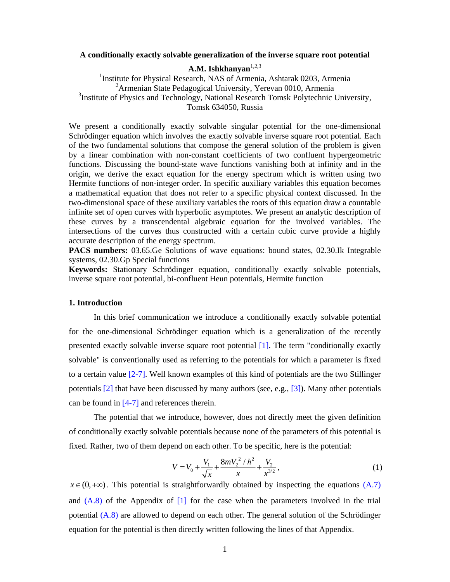#### **A conditionally exactly solvable generalization of the inverse square root potential**

# A.M. Ishkhanyan<sup>1,2,3</sup>

<sup>1</sup>Institute for Physical Research, NAS of Armenia, Ashtarak 0203, Armenia 2 Armenian State Pedagogical University, Yerevan 0010, Armenia <sup>3</sup>Institute of Physics and Technology, National Research Tomsk Polytechnic University, Tomsk 634050, Russia

We present a conditionally exactly solvable singular potential for the one-dimensional Schrödinger equation which involves the exactly solvable inverse square root potential. Each of the two fundamental solutions that compose the general solution of the problem is given by a linear combination with non-constant coefficients of two confluent hypergeometric functions. Discussing the bound-state wave functions vanishing both at infinity and in the origin, we derive the exact equation for the energy spectrum which is written using two Hermite functions of non-integer order. In specific auxiliary variables this equation becomes a mathematical equation that does not refer to a specific physical context discussed. In the two-dimensional space of these auxiliary variables the roots of this equation draw a countable infinite set of open curves with hyperbolic asymptotes. We present an analytic description of these curves by a transcendental algebraic equation for the involved variables. The intersections of the curves thus constructed with a certain cubic curve provide a highly accurate description of the energy spectrum.

**PACS numbers:** 03.65.Ge Solutions of wave equations: bound states, 02.30.Ik Integrable systems, 02.30.Gp Special functions

**Keywords:** Stationary Schrödinger equation, conditionally exactly solvable potentials, inverse square root potential, bi-confluent Heun potentials, Hermite function

## **1. Introduction**

 In this brief communication we introduce a conditionally exactly solvable potential for the one-dimensional Schrödinger equation which is a generalization of the recently presented exactly solvable inverse square root potential [1]. The term "conditionally exactly solvable" is conventionally used as referring to the potentials for which a parameter is fixed to a certain value [2-7]. Well known examples of this kind of potentials are the two Stillinger potentials [2] that have been discussed by many authors (see, e.g., [3]). Many other potentials can be found in [4-7] and references therein.

 The potential that we introduce, however, does not directly meet the given definition of conditionally exactly solvable potentials because none of the parameters of this potential is fixed. Rather, two of them depend on each other. To be specific, here is the potential:

$$
V = V_0 + \frac{V_1}{\sqrt{x}} + \frac{8mV_2^2/\hbar^2}{x} + \frac{V_2}{x^{3/2}},
$$
 (1)

 $x \in (0, +\infty)$ . This potential is straightforwardly obtained by inspecting the equations (A.7) and  $(A.8)$  of the Appendix of  $[1]$  for the case when the parameters involved in the trial potential (A.8) are allowed to depend on each other. The general solution of the Schrödinger equation for the potential is then directly written following the lines of that Appendix.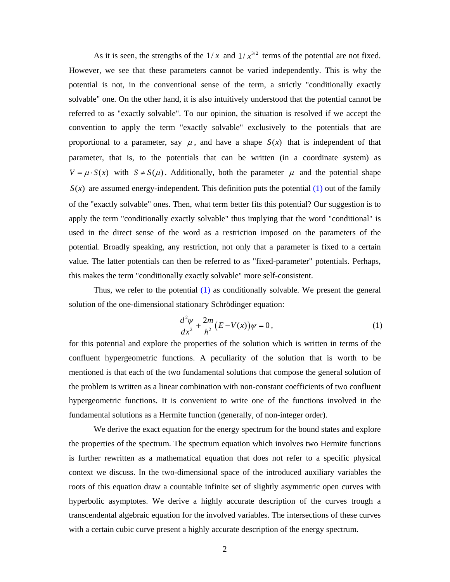As it is seen, the strengths of the  $1/x$  and  $1/x^{3/2}$  terms of the potential are not fixed. However, we see that these parameters cannot be varied independently. This is why the potential is not, in the conventional sense of the term, a strictly "conditionally exactly solvable" one. On the other hand, it is also intuitively understood that the potential cannot be referred to as "exactly solvable". To our opinion, the situation is resolved if we accept the convention to apply the term "exactly solvable" exclusively to the potentials that are proportional to a parameter, say  $\mu$ , and have a shape  $S(x)$  that is independent of that parameter, that is, to the potentials that can be written (in a coordinate system) as  $V = \mu \cdot S(x)$  with  $S \neq S(\mu)$ . Additionally, both the parameter  $\mu$  and the potential shape  $S(x)$  are assumed energy-independent. This definition puts the potential (1) out of the family of the "exactly solvable" ones. Then, what term better fits this potential? Our suggestion is to apply the term "conditionally exactly solvable" thus implying that the word "conditional" is used in the direct sense of the word as a restriction imposed on the parameters of the potential. Broadly speaking, any restriction, not only that a parameter is fixed to a certain value. The latter potentials can then be referred to as "fixed-parameter" potentials. Perhaps, this makes the term "conditionally exactly solvable" more self-consistent.

 Thus, we refer to the potential (1) as conditionally solvable. We present the general solution of the one-dimensional stationary Schrödinger equation:

$$
\frac{d^2\psi}{dx^2} + \frac{2m}{\hbar^2} (E - V(x))\psi = 0, \qquad (1)
$$

for this potential and explore the properties of the solution which is written in terms of the confluent hypergeometric functions. A peculiarity of the solution that is worth to be mentioned is that each of the two fundamental solutions that compose the general solution of the problem is written as a linear combination with non-constant coefficients of two confluent hypergeometric functions. It is convenient to write one of the functions involved in the fundamental solutions as a Hermite function (generally, of non-integer order).

 We derive the exact equation for the energy spectrum for the bound states and explore the properties of the spectrum. The spectrum equation which involves two Hermite functions is further rewritten as a mathematical equation that does not refer to a specific physical context we discuss. In the two-dimensional space of the introduced auxiliary variables the roots of this equation draw a countable infinite set of slightly asymmetric open curves with hyperbolic asymptotes. We derive a highly accurate description of the curves trough a transcendental algebraic equation for the involved variables. The intersections of these curves with a certain cubic curve present a highly accurate description of the energy spectrum.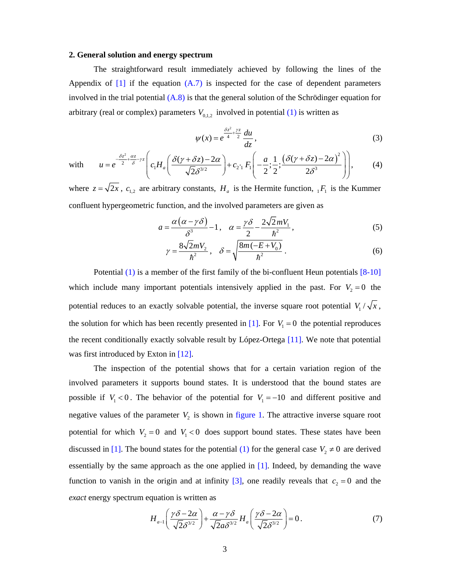### **2. General solution and energy spectrum**

 The straightforward result immediately achieved by following the lines of the Appendix of  $[1]$  if the equation  $(A.7)$  is inspected for the case of dependent parameters involved in the trial potential  $(A.8)$  is that the general solution of the Schrödinger equation for arbitrary (real or complex) parameters  $V_{0,1,2}$  involved in potential (1) is written as

$$
\psi(x) = e^{\frac{\delta z^2}{4} + \frac{yz}{2}} \frac{du}{dz},\tag{3}
$$

with 
$$
u = e^{-\frac{\delta z^2}{2} + \frac{\alpha z}{\delta}} \Bigg[ c_1 H_a \Big( \frac{\delta(\gamma + \delta z) - 2\alpha}{\sqrt{2} \delta^{3/2}} \Bigg) + c_2 \Big[ c_1 F_1 \Big( -\frac{a}{2}; \frac{1}{2}; \frac{(\delta(\gamma + \delta z) - 2\alpha)^2}{2\delta^3} \Bigg) \Bigg],
$$
 (4)

where  $z = \sqrt{2x}$ ,  $c_{1,2}$  are arbitrary constants,  $H_a$  is the Hermite function,  ${}_{1}F_1$  is the Kummer confluent hypergeometric function, and the involved parameters are given as

$$
a = \frac{\alpha (\alpha - \gamma \delta)}{\delta^3} - 1, \quad \alpha = \frac{\gamma \delta}{2} - \frac{2\sqrt{2}mV_1}{\hbar^2},
$$
 (5)

$$
\gamma = \frac{8\sqrt{2}mV_2}{\hbar^2}, \quad \delta = \sqrt{\frac{8m(-E+V_0)}{\hbar^2}}.
$$
 (6)

 Potential (1) is a member of the first family of the bi-confluent Heun potentials [8-10] which include many important potentials intensively applied in the past. For  $V_2 = 0$  the potential reduces to an exactly solvable potential, the inverse square root potential  $V_1 / \sqrt{x}$ , the solution for which has been recently presented in  $[1]$ . For  $V_1 = 0$  the potential reproduces the recent conditionally exactly solvable result by López-Ortega [11]. We note that potential was first introduced by Exton in [12].

 The inspection of the potential shows that for a certain variation region of the involved parameters it supports bound states. It is understood that the bound states are possible if  $V_1 < 0$ . The behavior of the potential for  $V_1 = -10$  and different positive and negative values of the parameter  $V_2$  is shown in figure 1. The attractive inverse square root potential for which  $V_2 = 0$  and  $V_1 < 0$  does support bound states. These states have been discussed in [1]. The bound states for the potential (1) for the general case  $V_2 \neq 0$  are derived essentially by the same approach as the one applied in [1]. Indeed, by demanding the wave function to vanish in the origin and at infinity [3], one readily reveals that  $c_2 = 0$  and the *exact* energy spectrum equation is written as

$$
H_{a-1}\left(\frac{\gamma\delta - 2\alpha}{\sqrt{2}\delta^{3/2}}\right) + \frac{\alpha - \gamma\delta}{\sqrt{2}a\delta^{3/2}} H_a\left(\frac{\gamma\delta - 2\alpha}{\sqrt{2}\delta^{3/2}}\right) = 0.
$$
 (7)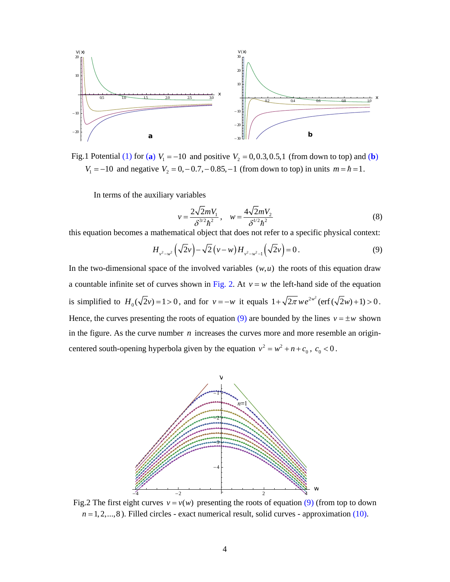

Fig.1 Potential (1) for (a)  $V_1 = -10$  and positive  $V_2 = 0, 0.3, 0.5, 1$  (from down to top) and (b)  $V_1 = -10$  and negative  $V_2 = 0, -0.7, -0.85, -1$  (from down to top) in units  $m = \hbar = 1$ .

In terms of the auxiliary variables

$$
v = \frac{2\sqrt{2}mV_1}{\delta^{3/2}\hbar^2}, \quad w = \frac{4\sqrt{2}mV_2}{\delta^{1/2}\hbar^2}
$$
(8)

this equation becomes a mathematical object that does not refer to a specific physical context:

$$
H_{\nu^2 - \nu^2} \left( \sqrt{2} \nu \right) - \sqrt{2} \left( \nu - w \right) H_{\nu^2 - \nu^2 - 1} \left( \sqrt{2} \nu \right) = 0 \,. \tag{9}
$$

In the two-dimensional space of the involved variables  $(w, u)$  the roots of this equation draw a countable infinite set of curves shown in Fig. 2. At  $v = w$  the left-hand side of the equation is simplified to  $H_0(\sqrt{2}v) = 1 > 0$ , and for  $v = -w$  it equals  $1 + \sqrt{2\pi} w e^{2w^2} (\text{erf}(\sqrt{2}w) + 1) > 0$ . Hence, the curves presenting the roots of equation (9) are bounded by the lines  $v = \pm w$  shown in the figure. As the curve number *n* increases the curves more and more resemble an origincentered south-opening hyperbola given by the equation  $v^2 = w^2 + n + c_0$ ,  $c_0 < 0$ .



Fig.2 The first eight curves  $v = v(w)$  presenting the roots of equation (9) (from top to down  $n = 1, 2, \ldots, 8$ ). Filled circles - exact numerical result, solid curves - approximation (10).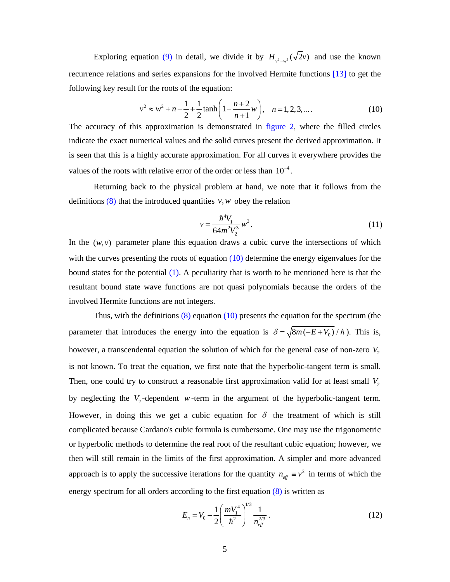Exploring equation (9) in detail, we divide it by  $H_{a^2}(\sqrt{2}v)$  and use the known recurrence relations and series expansions for the involved Hermite functions [13] to get the following key result for the roots of the equation:

$$
v^{2} \approx w^{2} + n - \frac{1}{2} + \frac{1}{2} \tanh\left(1 + \frac{n+2}{n+1}w\right), \quad n = 1, 2, 3, \dots
$$
 (10)

The accuracy of this approximation is demonstrated in figure 2, where the filled circles indicate the exact numerical values and the solid curves present the derived approximation. It is seen that this is a highly accurate approximation. For all curves it everywhere provides the values of the roots with relative error of the order or less than  $10^{-4}$ .

 Returning back to the physical problem at hand, we note that it follows from the definitions  $(8)$  that the introduced quantities  $v, w$  obey the relation

$$
v = \frac{\hbar^4 V_1}{64m^2 V_2^3} w^3.
$$
 (11)

In the  $(w, v)$  parameter plane this equation draws a cubic curve the intersections of which with the curves presenting the roots of equation  $(10)$  determine the energy eigenvalues for the bound states for the potential (1). A peculiarity that is worth to be mentioned here is that the resultant bound state wave functions are not quasi polynomials because the orders of the involved Hermite functions are not integers.

Thus, with the definitions  $(8)$  equation  $(10)$  presents the equation for the spectrum (the parameter that introduces the energy into the equation is  $\delta = \sqrt{8m(-E+V_0)}$  /*h*). This is, however, a transcendental equation the solution of which for the general case of non-zero *V*<sub>2</sub> is not known. To treat the equation, we first note that the hyperbolic-tangent term is small. Then, one could try to construct a reasonable first approximation valid for at least small  $V_2$ by neglecting the  $V_2$ -dependent *w*-term in the argument of the hyperbolic-tangent term. However, in doing this we get a cubic equation for  $\delta$  the treatment of which is still complicated because Cardano's cubic formula is cumbersome. One may use the trigonometric or hyperbolic methods to determine the real root of the resultant cubic equation; however, we then will still remain in the limits of the first approximation. A simpler and more advanced approach is to apply the successive iterations for the quantity  $n_{\text{eff}} \equiv v^2$  in terms of which the energy spectrum for all orders according to the first equation (8) is written as

$$
E_n = V_0 - \frac{1}{2} \left( \frac{m V_1^4}{\hbar^2} \right)^{1/3} \frac{1}{n_{\text{eff}}^{2/3}} \,. \tag{12}
$$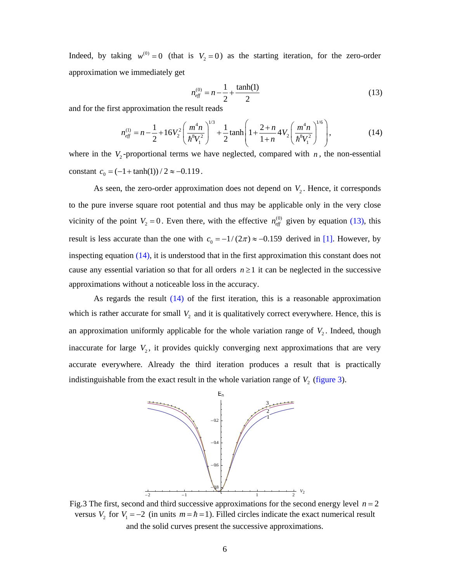Indeed, by taking  $w^{(0)} = 0$  (that is  $V_2 = 0$ ) as the starting iteration, for the zero-order approximation we immediately get

$$
n_{\text{eff}}^{(0)} = n - \frac{1}{2} + \frac{\tanh(1)}{2} \tag{13}
$$

and for the first approximation the result reads

$$
n_{\text{eff}}^{(1)} = n - \frac{1}{2} + 16V_2^2 \left(\frac{m^4 n}{\hbar^8 V_1^2}\right)^{1/3} + \frac{1}{2} \tanh\left(1 + \frac{2 + n}{1 + n} 4V_2 \left(\frac{m^4 n}{\hbar^8 V_1^2}\right)^{1/6}\right),\tag{14}
$$

where in the  $V_2$ -proportional terms we have neglected, compared with  $n$ , the non-essential constant  $c_0 = (-1 + \tanh(1)) / 2 \approx -0.119$ .

As seen, the zero-order approximation does not depend on  $V_2$ . Hence, it corresponds to the pure inverse square root potential and thus may be applicable only in the very close vicinity of the point  $V_2 = 0$ . Even there, with the effective  $n_{\text{eff}}^{(0)}$  given by equation (13), this result is less accurate than the one with  $c_0 = -1/(2\pi) \approx -0.159$  derived in [1]. However, by inspecting equation (14), it is understood that in the first approximation this constant does not cause any essential variation so that for all orders  $n \geq 1$  it can be neglected in the successive approximations without a noticeable loss in the accuracy.

 As regards the result (14) of the first iteration, this is a reasonable approximation which is rather accurate for small  $V_2$  and it is qualitatively correct everywhere. Hence, this is an approximation uniformly applicable for the whole variation range of  $V<sub>2</sub>$ . Indeed, though inaccurate for large  $V_2$ , it provides quickly converging next approximations that are very accurate everywhere. Already the third iteration produces a result that is practically indistinguishable from the exact result in the whole variation range of  $V<sub>2</sub>$  (figure 3).



Fig.3 The first, second and third successive approximations for the second energy level  $n = 2$ versus  $V_2$  for  $V_1 = -2$  (in units  $m = \hbar = 1$ ). Filled circles indicate the exact numerical result and the solid curves present the successive approximations.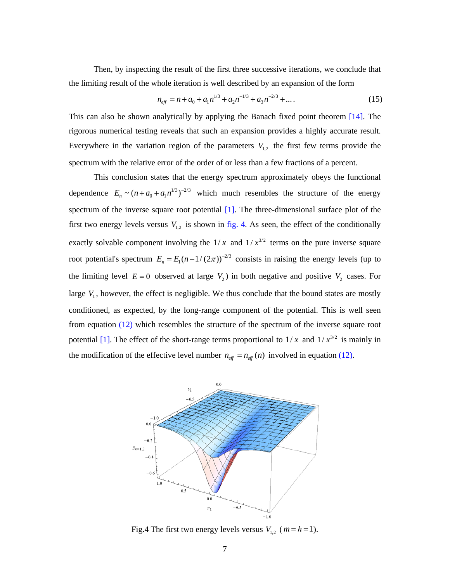Then, by inspecting the result of the first three successive iterations, we conclude that the limiting result of the whole iteration is well described by an expansion of the form

$$
n_{\text{eff}} = n + a_0 + a_1 n^{1/3} + a_2 n^{-1/3} + a_3 n^{-2/3} + \dots
$$
 (15)

This can also be shown analytically by applying the Banach fixed point theorem [14]. The rigorous numerical testing reveals that such an expansion provides a highly accurate result. Everywhere in the variation region of the parameters  $V_{1,2}$  the first few terms provide the spectrum with the relative error of the order of or less than a few fractions of a percent.

 This conclusion states that the energy spectrum approximately obeys the functional dependence  $E_n \sim (n + a_0 + a_1 n^{1/3})^{-2/3}$  which much resembles the structure of the energy spectrum of the inverse square root potential [1]. The three-dimensional surface plot of the first two energy levels versus  $V_{1,2}$  is shown in fig. 4. As seen, the effect of the conditionally exactly solvable component involving the  $1/x$  and  $1/x^{3/2}$  terms on the pure inverse square root potential's spectrum  $E_n = E_1(n-1/(2\pi))^{-2/3}$  consists in raising the energy levels (up to the limiting level  $E = 0$  observed at large  $V_2$ ) in both negative and positive  $V_2$  cases. For large  $V_1$ , however, the effect is negligible. We thus conclude that the bound states are mostly conditioned, as expected, by the long-range component of the potential. This is well seen from equation (12) which resembles the structure of the spectrum of the inverse square root potential [1]. The effect of the short-range terms proportional to  $1/x$  and  $1/x^{3/2}$  is mainly in the modification of the effective level number  $n_{\text{eff}} = n_{\text{eff}}(n)$  involved in equation (12).



Fig.4 The first two energy levels versus  $V_1$ ,  $(m = \hbar = 1)$ .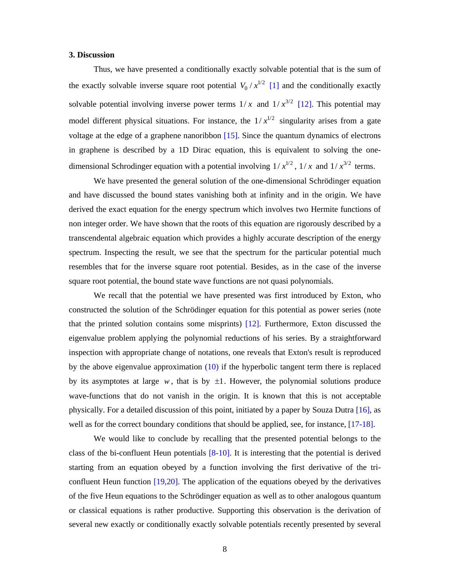## **3. Discussion**

 Thus, we have presented a conditionally exactly solvable potential that is the sum of the exactly solvable inverse square root potential  $V_0 / x^{1/2}$  [1] and the conditionally exactly solvable potential involving inverse power terms  $1/x$  and  $1/x^{3/2}$  [12]. This potential may model different physical situations. For instance, the  $1/x^{1/2}$  singularity arises from a gate voltage at the edge of a graphene nanoribbon [15]. Since the quantum dynamics of electrons in graphene is described by a 1D Dirac equation, this is equivalent to solving the onedimensional Schrodinger equation with a potential involving  $1/x^{1/2}$ ,  $1/x$  and  $1/x^{3/2}$  terms.

 We have presented the general solution of the one-dimensional Schrödinger equation and have discussed the bound states vanishing both at infinity and in the origin. We have derived the exact equation for the energy spectrum which involves two Hermite functions of non integer order. We have shown that the roots of this equation are rigorously described by a transcendental algebraic equation which provides a highly accurate description of the energy spectrum. Inspecting the result, we see that the spectrum for the particular potential much resembles that for the inverse square root potential. Besides, as in the case of the inverse square root potential, the bound state wave functions are not quasi polynomials.

 We recall that the potential we have presented was first introduced by Exton, who constructed the solution of the Schrödinger equation for this potential as power series (note that the printed solution contains some misprints) [12]. Furthermore, Exton discussed the eigenvalue problem applying the polynomial reductions of his series. By a straightforward inspection with appropriate change of notations, one reveals that Exton's result is reproduced by the above eigenvalue approximation (10) if the hyperbolic tangent term there is replaced by its asymptotes at large  $w$ , that is by  $\pm 1$ . However, the polynomial solutions produce wave-functions that do not vanish in the origin. It is known that this is not acceptable physically. For a detailed discussion of this point, initiated by a paper by Souza Dutra [16], as well as for the correct boundary conditions that should be applied, see, for instance, [17-18].

 We would like to conclude by recalling that the presented potential belongs to the class of the bi-confluent Heun potentials  $[8-10]$ . It is interesting that the potential is derived starting from an equation obeyed by a function involving the first derivative of the triconfluent Heun function [19,20]. The application of the equations obeyed by the derivatives of the five Heun equations to the Schrödinger equation as well as to other analogous quantum or classical equations is rather productive. Supporting this observation is the derivation of several new exactly or conditionally exactly solvable potentials recently presented by several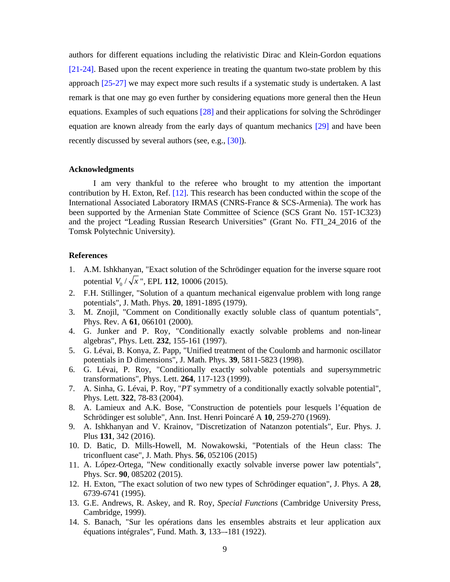authors for different equations including the relativistic Dirac and Klein-Gordon equations [21-24]. Based upon the recent experience in treating the quantum two-state problem by this approach [25-27] we may expect more such results if a systematic study is undertaken. A last remark is that one may go even further by considering equations more general then the Heun equations. Examples of such equations [28] and their applications for solving the Schrödinger equation are known already from the early days of quantum mechanics [29] and have been recently discussed by several authors (see, e.g., [30]).

## **Acknowledgments**

 I am very thankful to the referee who brought to my attention the important contribution by H. Exton, Ref. [12]. This research has been conducted within the scope of the International Associated Laboratory IRMAS (CNRS-France & SCS-Armenia). The work has been supported by the Armenian State Committee of Science (SCS Grant No. 15T-1C323) and the project "Leading Russian Research Universities" (Grant No. FTI\_24\_2016 of the Tomsk Polytechnic University).

## **References**

- 1. A.M. Ishkhanyan, "Exact solution of the Schrödinger equation for the inverse square root potential  $V_0 / \sqrt{x}$ ", EPL 112, 10006 (2015).
- 2. F.H. Stillinger, "Solution of a quantum mechanical eigenvalue problem with long range potentials", J. Math. Phys. **20**, 1891-1895 (1979).
- 3. M. Znojil, "Comment on Conditionally exactly soluble class of quantum potentials", Phys. Rev. A **61**, 066101 (2000).
- 4. G. Junker and P. Roy, "Conditionally exactly solvable problems and non-linear algebras", Phys. Lett. **232**, 155-161 (1997).
- 5. G. Lévai, B. Konya, Z. Papp, "Unified treatment of the Coulomb and harmonic oscillator potentials in D dimensions", J. Math. Phys. **39**, 5811-5823 (1998).
- 6. G. Lévai, P. Roy, "Conditionally exactly solvable potentials and supersymmetric transformations", Phys. Lett. **264**, 117-123 (1999).
- 7. A. Sinha, G. Lévai, P. Roy, "*PT* symmetry of a conditionally exactly solvable potential", Phys. Lett. **322**, 78-83 (2004).
- 8. A. Lamieux and A.K. Bose, "Construction de potentiels pour lesquels l'équation de Schrödinger est soluble", Ann. Inst. Henri Poincaré A **10**, 259-270 (1969).
- 9. A. Ishkhanyan and V. Krainov, "Discretization of Natanzon potentials", Eur. Phys. J. Plus **131**, 342 (2016).
- 10. D. Batic, D. Mills-Howell, M. Nowakowski, "Potentials of the Heun class: The triconfluent case", J. Math. Phys. **56**, 052106 (2015)
- 11. A. López-Ortega, "New conditionally exactly solvable inverse power law potentials", Phys. Scr. **90**, 085202 (2015).
- 12. H. Exton, "The exact solution of two new types of Schrödinger equation", J. Phys. A **28**, 6739-6741 (1995).
- 13. G.E. Andrews, R. Askey, and R. Roy, *Special Functions* (Cambridge University Press, Cambridge, 1999).
- 14. S. Banach, "Sur les opérations dans les ensembles abstraits et leur application aux équations intégrales", Fund. Math. **3**, 133–-181 (1922).